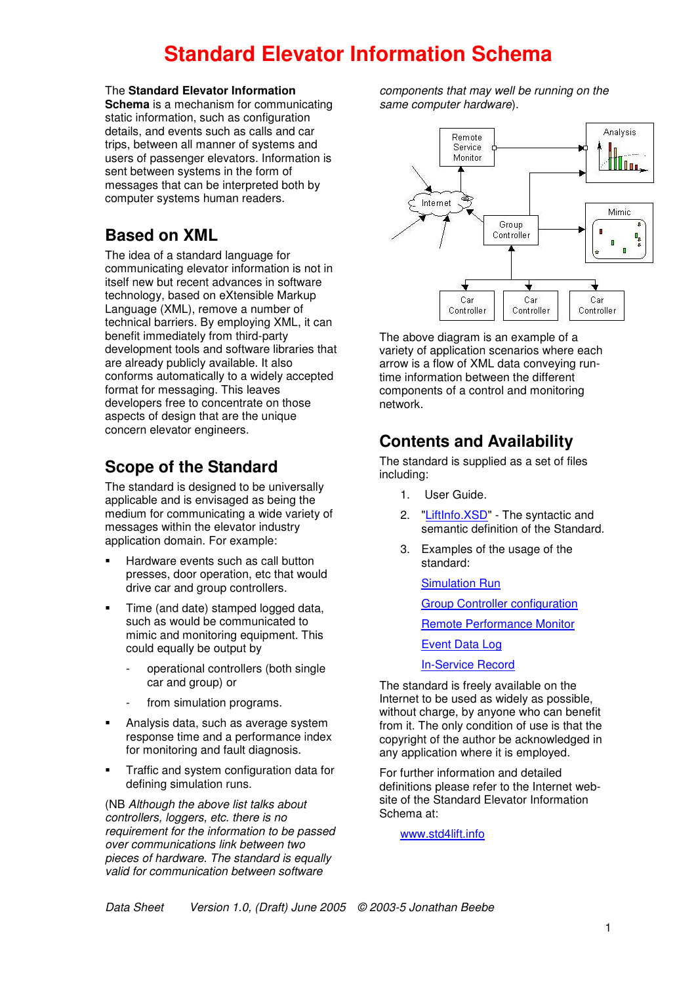# **Standard Elevator Information Schema**

The **Standard Elevator Information**

**Schema** is a mechanism for communicating static information, such as configuration details, and events such as calls and car trips, between all manner of systems and users of passenger elevators. Information is sent between systems in the form of messages that can be interpreted both by computer systems human readers.

### **Based on XML**

The idea of a standard language for communicating elevator information is not in itself new but recent advances in software technology, based on eXtensible Markup Language (XML), remove a number of technical barriers. By employing XML, it can benefit immediately from third-party development tools and software libraries that are already publicly available. It also conforms automatically to a widely accepted format for messaging. This leaves developers free to concentrate on those aspects of design that are the unique concern elevator engineers.

### **Scope of the Standard**

The standard is designed to be universally applicable and is envisaged as being the medium for communicating a wide variety of messages within the elevator industry application domain. For example:

- Hardware events such as call button presses, door operation, etc that would drive car and group controllers.
- Time (and date) stamped logged data, such as would be communicated to mimic and monitoring equipment. This could equally be output by
	- operational controllers (both single car and group) or
	- from simulation programs.
- **Analysis data, such as average system** response time and a performance index for monitoring and fault diagnosis.
- **Traffic and system configuration data for** defining simulation runs.

(NB *Although the above list talks about controllers, loggers, etc. there is no requirement for the information to be passed over communications link between two pieces of hardware. The standard is equally valid for communication between software*

*components that may well be running on the same computer hardware*).



The above diagram is an example of a variety of application scenarios where each arrow is a flow of XML data conveying runtime information between the different components of a control and monitoring network.

## **Contents and Availability**

The standard is supplied as a set of files including:

- 1. User Guide.
- 2. "LiftInfo.XSD" The syntactic and semantic definition of the Standard.
- 3. Examples of the usage of the standard:

Simulation Run

Group Controller configuration

Remote Performance Monitor

Event Data Log

In-Service Record

The standard is freely available on the Internet to be used as widely as possible, without charge, by anyone who can benefit from it. The only condition of use is that the copyright of the author be acknowledged in any application where it is employed.

For further information and detailed definitions please refer to the Internet website of the Standard Elevator Information Schema at:

www.std4lift.info